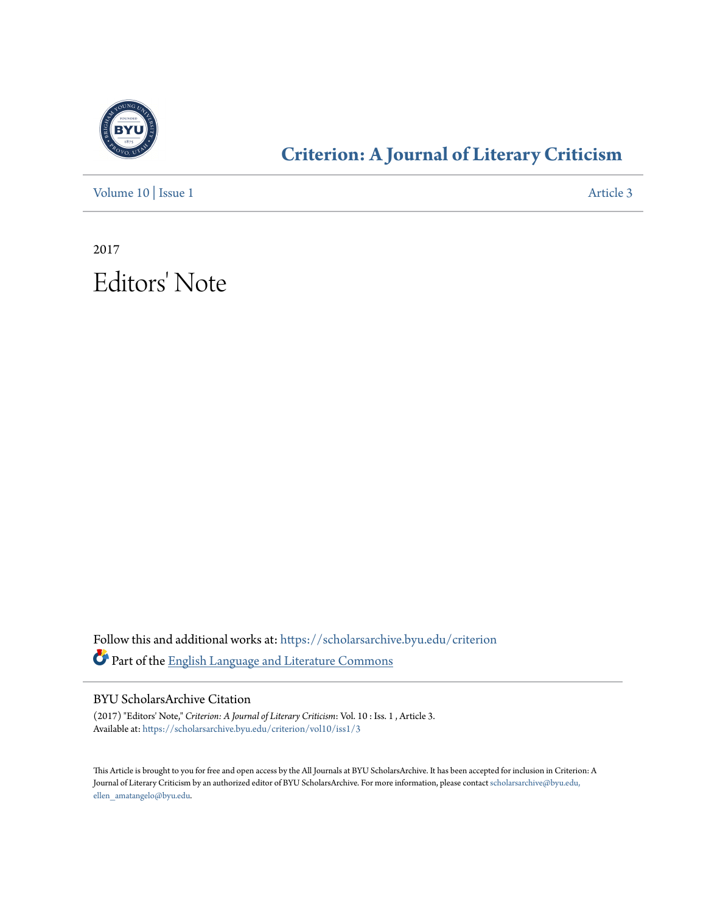

## **[Criterion: A Journal of Literary Criticism](https://scholarsarchive.byu.edu/criterion?utm_source=scholarsarchive.byu.edu%2Fcriterion%2Fvol10%2Fiss1%2F3&utm_medium=PDF&utm_campaign=PDFCoverPages)**

[Volume 10](https://scholarsarchive.byu.edu/criterion/vol10?utm_source=scholarsarchive.byu.edu%2Fcriterion%2Fvol10%2Fiss1%2F3&utm_medium=PDF&utm_campaign=PDFCoverPages) | [Issue 1](https://scholarsarchive.byu.edu/criterion/vol10/iss1?utm_source=scholarsarchive.byu.edu%2Fcriterion%2Fvol10%2Fiss1%2F3&utm_medium=PDF&utm_campaign=PDFCoverPages) [Article 3](https://scholarsarchive.byu.edu/criterion/vol10/iss1/3?utm_source=scholarsarchive.byu.edu%2Fcriterion%2Fvol10%2Fiss1%2F3&utm_medium=PDF&utm_campaign=PDFCoverPages)

2017 Editors' Note

Follow this and additional works at: [https://scholarsarchive.byu.edu/criterion](https://scholarsarchive.byu.edu/criterion?utm_source=scholarsarchive.byu.edu%2Fcriterion%2Fvol10%2Fiss1%2F3&utm_medium=PDF&utm_campaign=PDFCoverPages) Part of the [English Language and Literature Commons](http://network.bepress.com/hgg/discipline/455?utm_source=scholarsarchive.byu.edu%2Fcriterion%2Fvol10%2Fiss1%2F3&utm_medium=PDF&utm_campaign=PDFCoverPages)

BYU ScholarsArchive Citation

(2017) "Editors' Note," *Criterion: A Journal of Literary Criticism*: Vol. 10 : Iss. 1 , Article 3. Available at: [https://scholarsarchive.byu.edu/criterion/vol10/iss1/3](https://scholarsarchive.byu.edu/criterion/vol10/iss1/3?utm_source=scholarsarchive.byu.edu%2Fcriterion%2Fvol10%2Fiss1%2F3&utm_medium=PDF&utm_campaign=PDFCoverPages)

This Article is brought to you for free and open access by the All Journals at BYU ScholarsArchive. It has been accepted for inclusion in Criterion: A Journal of Literary Criticism by an authorized editor of BYU ScholarsArchive. For more information, please contact [scholarsarchive@byu.edu,](mailto:scholarsarchive@byu.edu,%20ellen_amatangelo@byu.edu) [ellen\\_amatangelo@byu.edu.](mailto:scholarsarchive@byu.edu,%20ellen_amatangelo@byu.edu)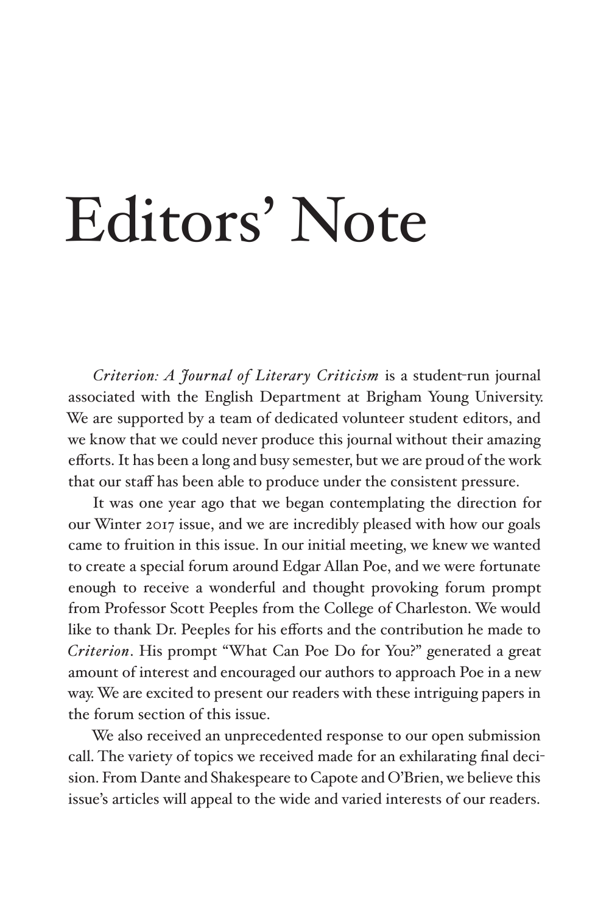## Editors' Note

*Criterion: A Journal of Literary Criticism* is a student-run journal associated with the English Department at Brigham Young University. We are supported by a team of dedicated volunteer student editors, and we know that we could never produce this journal without their amazing efforts. It has been a long and busy semester, but we are proud of the work that our staff has been able to produce under the consistent pressure.

It was one year ago that we began contemplating the direction for our Winter 2017 issue, and we are incredibly pleased with how our goals came to fruition in this issue. In our initial meeting, we knew we wanted to create a special forum around Edgar Allan Poe, and we were fortunate enough to receive a wonderful and thought provoking forum prompt from Professor Scott Peeples from the College of Charleston. We would like to thank Dr. Peeples for his efforts and the contribution he made to *Criterion*. His prompt "What Can Poe Do for You?" generated a great amount of interest and encouraged our authors to approach Poe in a new way. We are excited to present our readers with these intriguing papers in the forum section of this issue.

We also received an unprecedented response to our open submission call. The variety of topics we received made for an exhilarating final decision. From Dante and Shakespeare to Capote and O'Brien, we believe this issue's articles will appeal to the wide and varied interests of our readers.